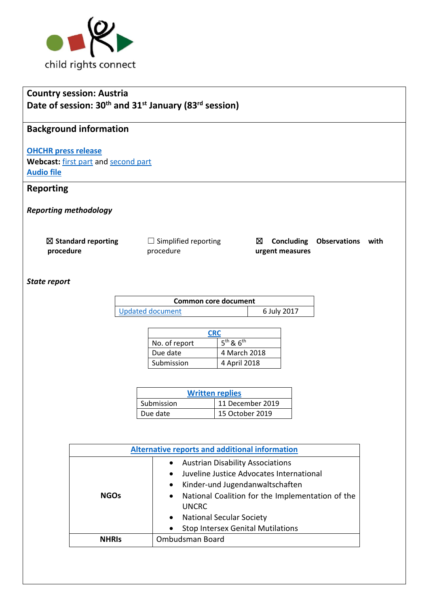

# **Country session: Austria Date of session: 30th and 31st January (83rd session)**

# **Background information**

#### **[OHCHR press release](https://www.ohchr.org/EN/NewsEvents/Pages/DisplayNews.aspx?NewsID=25516&LangID=E)**

Webcast: [first part](http://webtv.un.org/meetings-events/human-rights-treaty-bodies/committee-on-the-rights-of-the-child/watch/consideration-of-austria-2448th-meeting-83rd-session-committee-on-the-rights-of-the-child/6128416905001) an[d second part](http://webtv.un.org/meetings-events/human-rights-treaty-bodies/committee-on-the-rights-of-the-child/watch/consideration-of-austria-contd-2446th-meeting-83rd-session-committee-on-the-rights-of-the-child/6128634355001/?term=) **[Audio file](https://conf.unog.ch/digitalrecordings/)**

## **Reporting**

*Reporting methodology*

| $\boxtimes$ Standard reporting | $\Box$ Simplified reporting |                 | $\boxtimes$ Concluding Observations with |  |
|--------------------------------|-----------------------------|-----------------|------------------------------------------|--|
| procedure                      | procedure                   | urgent measures |                                          |  |

#### *State report*

| Common core document |             |  |
|----------------------|-------------|--|
| Updated document     | 6 July 2017 |  |

| <b>CRC</b>    |               |  |
|---------------|---------------|--|
| No. of report | $5th$ & $6th$ |  |
| Due date      | 4 March 2018  |  |
| Submission    | 4 April 2018  |  |

| <b>Written replies</b> |                  |  |
|------------------------|------------------|--|
| Submission             | 11 December 2019 |  |
| Due date               | 15 October 2019  |  |

| <b>Alternative reports and additional information</b> |                                                               |  |
|-------------------------------------------------------|---------------------------------------------------------------|--|
|                                                       | <b>Austrian Disability Associations</b><br>$\bullet$          |  |
|                                                       | Juveline Justice Advocates International<br>$\bullet$         |  |
|                                                       | Kinder-und Jugendanwaltschaften<br>$\bullet$                  |  |
| <b>NGOs</b>                                           | National Coalition for the Implementation of the<br>$\bullet$ |  |
|                                                       | <b>UNCRC</b>                                                  |  |
|                                                       | <b>National Secular Society</b><br>$\bullet$                  |  |
|                                                       | <b>Stop Intersex Genital Mutilations</b><br>$\bullet$         |  |
| <b>NHRIS</b>                                          | Ombudsman Board                                               |  |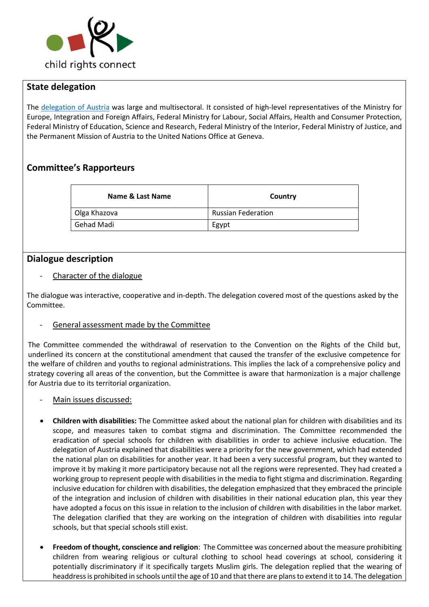

### **State delegation**

The [delegation of Austria](https://tbinternet.ohchr.org/Treaties/CRC/Shared%20Documents/AUT/INT_CRC_LOP_AUT_41014_E.pdf) was large and multisectoral. It consisted of high-level representatives of the Ministry for Europe, Integration and Foreign Affairs, Federal Ministry for Labour, Social Affairs, Health and Consumer Protection, Federal Ministry of Education, Science and Research, Federal Ministry of the Interior, Federal Ministry of Justice, and the Permanent Mission of Austria to the United Nations Office at Geneva.

### **Committee's Rapporteurs**

| Name & Last Name | Country                   |
|------------------|---------------------------|
| Olga Khazova     | <b>Russian Federation</b> |
| Gehad Madi       | Egypt                     |

### **Dialogue description**

- Character of the dialogue

The dialogue was interactive, cooperative and in-depth. The delegation covered most of the questions asked by the Committee.

- General assessment made by the Committee

The Committee commended the withdrawal of reservation to the Convention on the Rights of the Child but, underlined its concern at the constitutional amendment that caused the transfer of the exclusive competence for the welfare of children and youths to regional administrations. This implies the lack of a comprehensive policy and strategy covering all areas of the convention, but the Committee is aware that harmonization is a major challenge for Austria due to its territorial organization.

- Main issues discussed:
- **Children with disabilities:** The Committee asked about the national plan for children with disabilities and its scope, and measures taken to combat stigma and discrimination. The Committee recommended the eradication of special schools for children with disabilities in order to achieve inclusive education. The delegation of Austria explained that disabilities were a priority for the new government, which had extended the national plan on disabilities for another year. It had been a very successful program, but they wanted to improve it by making it more participatory because not all the regions were represented. They had created a working group to represent people with disabilities in the media to fight stigma and discrimination. Regarding inclusive education for children with disabilities, the delegation emphasized that they embraced the principle of the integration and inclusion of children with disabilities in their national education plan, this year they have adopted a focus on this issue in relation to the inclusion of children with disabilities in the labor market. The delegation clarified that they are working on the integration of children with disabilities into regular schools, but that special schools still exist.
- **Freedom of thought, conscience and religion**: The Committee was concerned about the measure prohibiting children from wearing religious or cultural clothing to school head coverings at school, considering it potentially discriminatory if it specifically targets Muslim girls. The delegation replied that the wearing of headdress is prohibited in schools until the age of 10 and that there are plans to extend it to 14. The delegation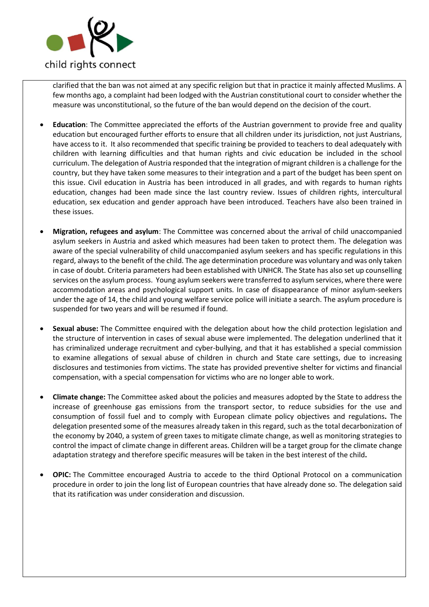

clarified that the ban was not aimed at any specific religion but that in practice it mainly affected Muslims. A few months ago, a complaint had been lodged with the Austrian constitutional court to consider whether the measure was unconstitutional, so the future of the ban would depend on the decision of the court.

- **Education**: The Committee appreciated the efforts of the Austrian government to provide free and quality education but encouraged further efforts to ensure that all children under its jurisdiction, not just Austrians, have access to it. It also recommended that specific training be provided to teachers to deal adequately with children with learning difficulties and that human rights and civic education be included in the school curriculum. The delegation of Austria responded that the integration of migrant children is a challenge for the country, but they have taken some measures to their integration and a part of the budget has been spent on this issue. Civil education in Austria has been introduced in all grades, and with regards to human rights education, changes had been made since the last country review. Issues of children rights, intercultural education, sex education and gender approach have been introduced. Teachers have also been trained in these issues.
- **Migration, refugees and asylum**: The Committee was concerned about the arrival of child unaccompanied asylum seekers in Austria and asked which measures had been taken to protect them. The delegation was aware of the special vulnerability of child unaccompanied asylum seekers and has specific regulations in this regard, always to the benefit of the child. The age determination procedure was voluntary and was only taken in case of doubt. Criteria parameters had been established with UNHCR. The State has also set up counselling services on the asylum process. Young asylum seekers were transferred to asylum services, where there were accommodation areas and psychological support units. In case of disappearance of minor asylum-seekers under the age of 14, the child and young welfare service police will initiate a search. The asylum procedure is suspended for two years and will be resumed if found.
- **Sexual abuse:** The Committee enquired with the delegation about how the child protection legislation and the structure of intervention in cases of sexual abuse were implemented. The delegation underlined that it has criminalized underage recruitment and cyber-bullying, and that it has established a special commission to examine allegations of sexual abuse of children in church and State care settings, due to increasing disclosures and testimonies from victims. The state has provided preventive shelter for victims and financial compensation, with a special compensation for victims who are no longer able to work.
- **Climate change:** The Committee asked about the policies and measures adopted by the State to address the increase of greenhouse gas emissions from the transport sector, to reduce subsidies for the use and consumption of fossil fuel and to comply with European climate policy objectives and regulations**.** The delegation presented some of the measures already taken in this regard, such as the total decarbonization of the economy by 2040, a system of green taxes to mitigate climate change, as well as monitoring strategies to control the impact of climate change in different areas. Children will be a target group for the climate change adaptation strategy and therefore specific measures will be taken in the best interest of the child**.**
- **OPIC:** The Committee encouraged Austria to accede to the third Optional Protocol on a communication procedure in order to join the long list of European countries that have already done so. The delegation said that its ratification was under consideration and discussion.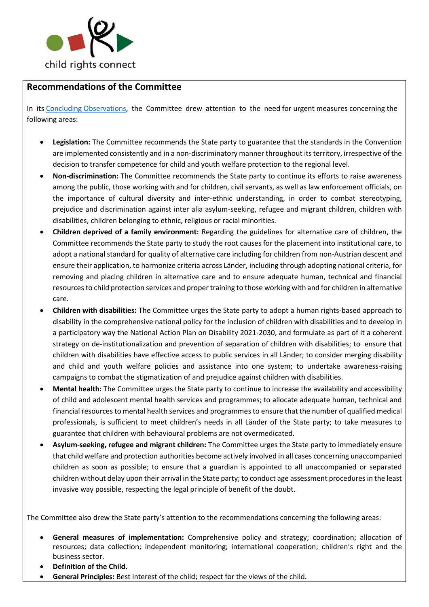

## **Recommendations of the Committee**

In its [Concluding Observations,](https://tbinternet.ohchr.org/Treaties/CRC/Shared%20Documents/AUT/CRC_C_AUT_CO_5-6_41509_E.pdf) the Committee drew attention to the need for urgent measures concerning the following areas:

- **Legislation:** The Committee recommends the State party to guarantee that the standards in the Convention are implemented consistently and in a non-discriminatory manner throughout its territory, irrespective of the decision to transfer competence for child and youth welfare protection to the regional level.
- **Non-discrimination:** The Committee recommends the State party to continue its efforts to raise awareness among the public, those working with and for children, civil servants, as well as law enforcement officials, on the importance of cultural diversity and inter-ethnic understanding, in order to combat stereotyping, prejudice and discrimination against inter alia asylum-seeking, refugee and migrant children, children with disabilities, children belonging to ethnic, religious or racial minorities.
- **Children deprived of a family environment:** Regarding the guidelines for alternative care of children, the Committee recommends the State party to study the root causes for the placement into institutional care, to adopt a national standard for quality of alternative care including for children from non-Austrian descent and ensure their application, to harmonize criteria across Länder, including through adopting national criteria, for removing and placing children in alternative care and to ensure adequate human, technical and financial resources to child protection services and proper training to those working with and for children in alternative care.
- **Children with disabilities:** The Committee urges the State party to adopt a human rights-based approach to disability in the comprehensive national policy for the inclusion of children with disabilities and to develop in a participatory way the National Action Plan on Disability 2021-2030, and formulate as part of it a coherent strategy on de-institutionalization and prevention of separation of children with disabilities; to ensure that children with disabilities have effective access to public services in all Länder; to consider merging disability and child and youth welfare policies and assistance into one system; to undertake awareness-raising campaigns to combat the stigmatization of and prejudice against children with disabilities.
- **Mental health:** The Committee urges the State party to continue to increase the availability and accessibility of child and adolescent mental health services and programmes; to allocate adequate human, technical and financial resources to mental health services and programmes to ensure that the number of qualified medical professionals, is sufficient to meet children's needs in all Länder of the State party; to take measures to guarantee that children with behavioural problems are not overmedicated.
- **Asylum-seeking, refugee and migrant children:** The Committee urges the State party to immediately ensure that child welfare and protection authorities become actively involved in all cases concerning unaccompanied children as soon as possible; to ensure that a guardian is appointed to all unaccompanied or separated children without delay upon their arrival in the State party; to conduct age assessment procedures in the least invasive way possible, respecting the legal principle of benefit of the doubt.

The Committee also drew the State party's attention to the recommendations concerning the following areas:

- **General measures of implementation:** Comprehensive policy and strategy; coordination; allocation of resources; data collection; independent monitoring; international cooperation; children's right and the business sector.
- **Definition of the Child.**
- **General Principles:** Best interest of the child; respect for the views of the child.